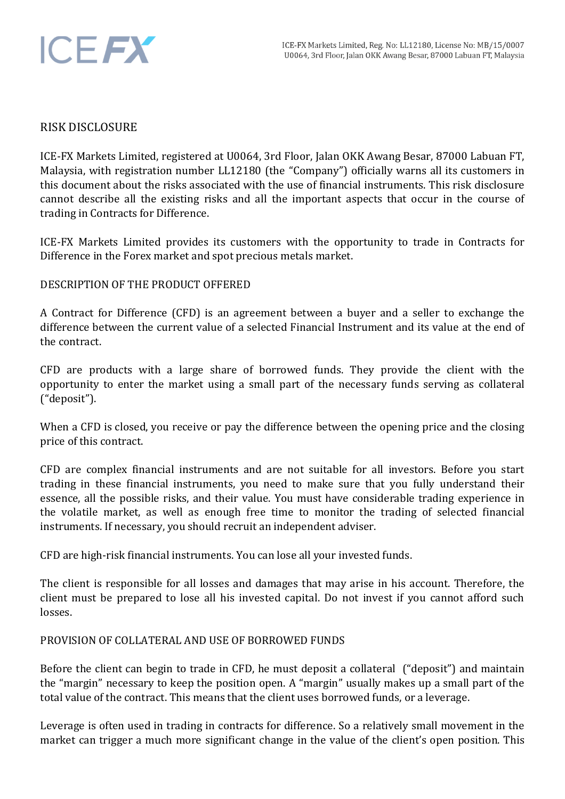## RISK DISCLOSURE

ICE-FX Markets Limited, registered at U0064, 3rd Floor, Jalan OKK Awang Besar, 87000 Labuan FT, Malaysia, with registration number LL12180 (the "Company") officially warns all its customers in this document about the risks associated with the use of financial instruments. This risk disclosure cannot describe all the existing risks and all the important aspects that occur in the course of trading in Contracts for Difference.

ICE-FX Markets Limited provides its customers with the opportunity to trade in Contracts for Difference in the Forex market and spot precious metals market.

## DESCRIPTION OF THE PRODUCT OFFERED

A Contract for Difference (CFD) is an agreement between a buyer and a seller to exchange the difference between the current value of a selected Financial Instrument and its value at the end of the contract.

CFD are products with a large share of borrowed funds. They provide the client with the opportunity to enter the market using a small part of the necessary funds serving as collateral ("deposit").

When a CFD is closed, you receive or pay the difference between the opening price and the closing price of this contract.

CFD are complex financial instruments and are not suitable for all investors. Before you start trading in these financial instruments, you need to make sure that you fully understand their essence, all the possible risks, and their value. You must have considerable trading experience in the volatile market, as well as enough free time to monitor the trading of selected financial instruments. If necessary, you should recruit an independent adviser.

CFD are high-risk financial instruments. You can lose all your invested funds.

The client is responsible for all losses and damages that may arise in his account. Therefore, the client must be prepared to lose all his invested capital. Do not invest if you cannot afford such losses.

## PROVISION OF COLLATERAL AND USE OF BORROWED FUNDS

Before the client can begin to trade in CFD, he must deposit a collateral ("deposit") and maintain the "margin" necessary to keep the position open. A "margin" usually makes up a small part of the total value of the contract. This means that the client uses borrowed funds, or a leverage.

Leverage is often used in trading in contracts for difference. So a relatively small movement in the market can trigger a much more significant change in the value of the client's open position. This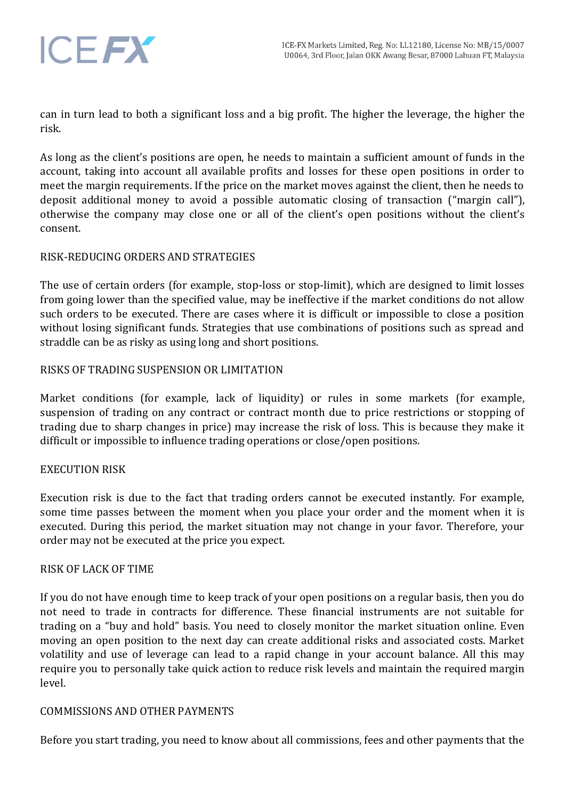

can in turn lead to both a significant loss and a big profit. The higher the leverage, the higher the risk.

As long as the client's positions are open, he needs to maintain a sufficient amount of funds in the account, taking into account all available profits and losses for these open positions in order to meet the margin requirements. If the price on the market moves against the client, then he needs to deposit additional money to avoid a possible automatic closing of transaction ("margin call"), otherwise the company may close one or all of the client's open positions without the client's consent.

## RISK-REDUCING ORDERS AND STRATEGIES

The use of certain orders (for example, stop-loss or stop-limit), which are designed to limit losses from going lower than the specified value, may be ineffective if the market conditions do not allow such orders to be executed. There are cases where it is difficult or impossible to close a position without losing significant funds. Strategies that use combinations of positions such as spread and straddle can be as risky as using long and short positions.

## RISKS OF TRADING SUSPENSION OR LIMITATION

Market conditions (for example, lack of liquidity) or rules in some markets (for example, suspension of trading on any contract or contract month due to price restrictions or stopping of trading due to sharp changes in price) may increase the risk of loss. This is because they make it difficult or impossible to influence trading operations or close/open positions.

# EXECUTION RISK

Execution risk is due to the fact that trading orders cannot be executed instantly. For example, some time passes between the moment when you place your order and the moment when it is executed. During this period, the market situation may not change in your favor. Therefore, your order may not be executed at the price you expect.

## RISK OF LACK OF TIME

If you do not have enough time to keep track of your open positions on a regular basis, then you do not need to trade in contracts for difference. These financial instruments are not suitable for trading on a "buy and hold" basis. You need to closely monitor the market situation online. Even moving an open position to the next day can create additional risks and associated costs. Market volatility and use of leverage can lead to a rapid change in your account balance. All this may require you to personally take quick action to reduce risk levels and maintain the required margin level.

## COMMISSIONS AND OTHER PAYMENTS

Before you start trading, you need to know about all commissions, fees and other payments that the